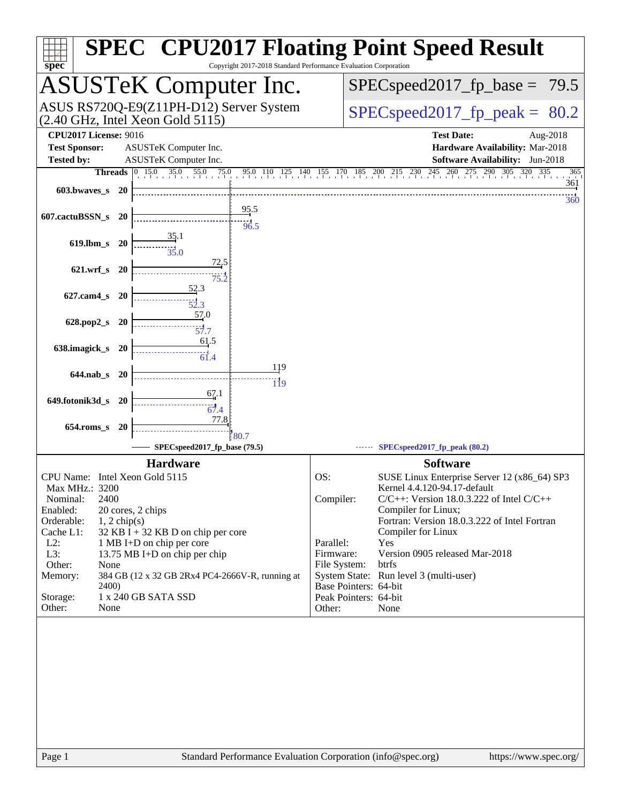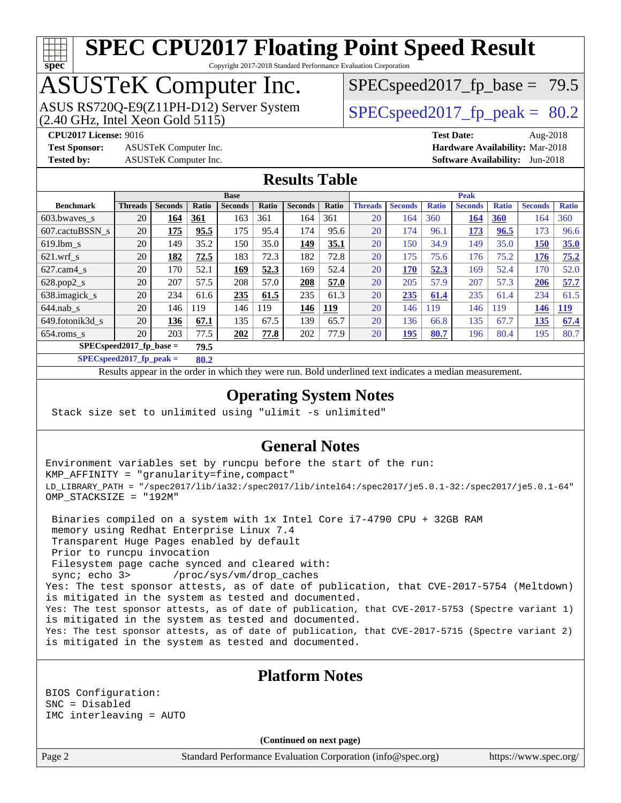## **[spec](http://www.spec.org/)**

## **[SPEC CPU2017 Floating Point Speed Result](http://www.spec.org/auto/cpu2017/Docs/result-fields.html#SPECCPU2017FloatingPointSpeedResult)**

Copyright 2017-2018 Standard Performance Evaluation Corporation

### ASUSTeK Computer Inc.

 $(2.40$  GHz, Intel Xeon Gold  $5115$ ) ASUS RS720Q-E9(Z11PH-D12) Server System  $\sqrt{\text{SPEC speed2017}}$  fp\_peak = 80.2

 $SPECspeed2017_fp\_base = 79.5$ 

**[Test Sponsor:](http://www.spec.org/auto/cpu2017/Docs/result-fields.html#TestSponsor)** ASUSTeK Computer Inc. **[Hardware Availability:](http://www.spec.org/auto/cpu2017/Docs/result-fields.html#HardwareAvailability)** Mar-2018

**[CPU2017 License:](http://www.spec.org/auto/cpu2017/Docs/result-fields.html#CPU2017License)** 9016 **[Test Date:](http://www.spec.org/auto/cpu2017/Docs/result-fields.html#TestDate)** Aug-2018 **[Tested by:](http://www.spec.org/auto/cpu2017/Docs/result-fields.html#Testedby)** ASUSTeK Computer Inc. **[Software Availability:](http://www.spec.org/auto/cpu2017/Docs/result-fields.html#SoftwareAvailability)** Jun-2018

#### **[Results Table](http://www.spec.org/auto/cpu2017/Docs/result-fields.html#ResultsTable)**

|                                    | <b>Base</b>    |                |       |                |       | <b>Peak</b>    |            |                |                |              |                |              |                |              |
|------------------------------------|----------------|----------------|-------|----------------|-------|----------------|------------|----------------|----------------|--------------|----------------|--------------|----------------|--------------|
| <b>Benchmark</b>                   | <b>Threads</b> | <b>Seconds</b> | Ratio | <b>Seconds</b> | Ratio | <b>Seconds</b> | Ratio      | <b>Threads</b> | <b>Seconds</b> | <b>Ratio</b> | <b>Seconds</b> | <b>Ratio</b> | <b>Seconds</b> | <b>Ratio</b> |
| 603.bwayes s                       | 20             | 164            | 361   | 163            | 361   | 164            | 361        | 20             | 164            | 360          | 164            | 360          | 164            | 360          |
| 607.cactuBSSN s                    | 20             | 175            | 95.5  | 175            | 95.4  | 174            | 95.6       | 20             | 174            | 96.1         | 173            | 96.5         | 173            | 96.6         |
| $619.$ lbm s                       | 20             | 149            | 35.2  | 150            | 35.0  | 149            | 35.1       | 20             | 150            | 34.9         | 149            | 35.0         | 150            | 35.0         |
| $621$ .wrf s                       | 20             | 182            | 72.5  | 183            | 72.3  | 182            | 72.8       | 20             | 175            | 75.6         | 176            | 75.2         | 176            | 75.2         |
| $627$ .cam $4$ <sub>S</sub>        | 20             | 170.           | 52.1  | 169            | 52.3  | 169            | 52.4       | 20             | 170            | 52.3         | 169            | 52.4         | 170            | 52.0         |
| $628.pop2_s$                       | 20             | 207            | 57.5  | 208            | 57.0  | 208            | 57.0       | 20             | 205            | 57.9         | 207            | 57.3         | 206            | 57.7         |
| 638.imagick_s                      | 20             | 234            | 61.6  | 235            | 61.5  | 235            | 61.3       | 20             | 235            | 61.4         | 235            | 61.4         | 234            | 61.5         |
| $644$ .nab s                       | 20             | 146            | 119   | 146            | 119   | 146            | <u>119</u> | 20             | 146            | 119          | 146            | 119          | 146            | <u>119</u>   |
| 649.fotonik3d s                    | 20             | 136            | 67.1  | 135            | 67.5  | 139            | 65.7       | 20             | 136            | 66.8         | 135            | 67.7         | 135            | 67.4         |
| $654$ .roms s                      | 20             | 203            | 77.5  | 202            | 77.8  | 202            | 77.9       | 20             | 195            | 80.7         | 196            | 80.4         | 195            | 80.7         |
| $SPEC speed2017$ fp base =<br>79.5 |                |                |       |                |       |                |            |                |                |              |                |              |                |              |

**[SPECspeed2017\\_fp\\_peak =](http://www.spec.org/auto/cpu2017/Docs/result-fields.html#SPECspeed2017fppeak) 80.2**

Results appear in the [order in which they were run.](http://www.spec.org/auto/cpu2017/Docs/result-fields.html#RunOrder) Bold underlined text [indicates a median measurement](http://www.spec.org/auto/cpu2017/Docs/result-fields.html#Median).

#### **[Operating System Notes](http://www.spec.org/auto/cpu2017/Docs/result-fields.html#OperatingSystemNotes)**

Stack size set to unlimited using "ulimit -s unlimited"

#### **[General Notes](http://www.spec.org/auto/cpu2017/Docs/result-fields.html#GeneralNotes)**

Environment variables set by runcpu before the start of the run: KMP\_AFFINITY = "granularity=fine,compact" LD\_LIBRARY\_PATH = "/spec2017/lib/ia32:/spec2017/lib/intel64:/spec2017/je5.0.1-32:/spec2017/je5.0.1-64" OMP\_STACKSIZE = "192M"

 Binaries compiled on a system with 1x Intel Core i7-4790 CPU + 32GB RAM memory using Redhat Enterprise Linux 7.4 Transparent Huge Pages enabled by default Prior to runcpu invocation Filesystem page cache synced and cleared with: sync; echo 3> /proc/sys/vm/drop\_caches Yes: The test sponsor attests, as of date of publication, that CVE-2017-5754 (Meltdown) is mitigated in the system as tested and documented. Yes: The test sponsor attests, as of date of publication, that CVE-2017-5753 (Spectre variant 1) is mitigated in the system as tested and documented. Yes: The test sponsor attests, as of date of publication, that CVE-2017-5715 (Spectre variant 2) is mitigated in the system as tested and documented.

#### **[Platform Notes](http://www.spec.org/auto/cpu2017/Docs/result-fields.html#PlatformNotes)**

BIOS Configuration: SNC = Disabled IMC interleaving = AUTO

**(Continued on next page)**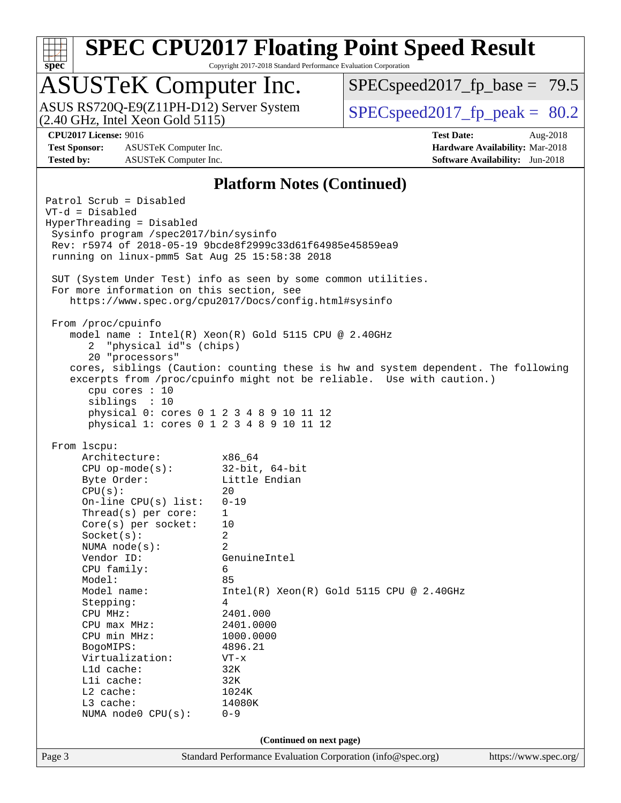

Copyright 2017-2018 Standard Performance Evaluation Corporation

# ASUSTeK Computer Inc.<br>ASUS RS720Q-E9(Z11PH-D12) Server System

(2.40 GHz, Intel Xeon Gold 5115)

 $SPECspeed2017_fp\_base = 79.5$ 

 $SPECspeed2017_fp\_peak = 80.2$ 

**[Test Sponsor:](http://www.spec.org/auto/cpu2017/Docs/result-fields.html#TestSponsor)** ASUSTeK Computer Inc. **[Hardware Availability:](http://www.spec.org/auto/cpu2017/Docs/result-fields.html#HardwareAvailability)** Mar-2018 **[Tested by:](http://www.spec.org/auto/cpu2017/Docs/result-fields.html#Testedby)** ASUSTeK Computer Inc. **[Software Availability:](http://www.spec.org/auto/cpu2017/Docs/result-fields.html#SoftwareAvailability)** Jun-2018

**[CPU2017 License:](http://www.spec.org/auto/cpu2017/Docs/result-fields.html#CPU2017License)** 9016 **[Test Date:](http://www.spec.org/auto/cpu2017/Docs/result-fields.html#TestDate)** Aug-2018

#### **[Platform Notes \(Continued\)](http://www.spec.org/auto/cpu2017/Docs/result-fields.html#PlatformNotes)**

Page 3 Standard Performance Evaluation Corporation [\(info@spec.org\)](mailto:info@spec.org) <https://www.spec.org/> Patrol Scrub = Disabled VT-d = Disabled HyperThreading = Disabled Sysinfo program /spec2017/bin/sysinfo Rev: r5974 of 2018-05-19 9bcde8f2999c33d61f64985e45859ea9 running on linux-pmm5 Sat Aug 25 15:58:38 2018 SUT (System Under Test) info as seen by some common utilities. For more information on this section, see <https://www.spec.org/cpu2017/Docs/config.html#sysinfo> From /proc/cpuinfo model name : Intel(R) Xeon(R) Gold 5115 CPU @ 2.40GHz 2 "physical id"s (chips) 20 "processors" cores, siblings (Caution: counting these is hw and system dependent. The following excerpts from /proc/cpuinfo might not be reliable. Use with caution.) cpu cores : 10 siblings : 10 physical 0: cores 0 1 2 3 4 8 9 10 11 12 physical 1: cores 0 1 2 3 4 8 9 10 11 12 From lscpu: Architecture: x86\_64 CPU op-mode(s): 32-bit, 64-bit Byte Order: Little Endian  $CPU(s):$  20 On-line CPU(s) list: 0-19 Thread(s) per core: 1 Core(s) per socket: 10 Socket(s): 2 NUMA node(s): 2 Vendor ID: GenuineIntel CPU family: 6 Model: 85 Model name: Intel(R) Xeon(R) Gold 5115 CPU @ 2.40GHz Stepping: 4 CPU MHz: 2401.000 CPU max MHz: 2401.0000 CPU min MHz: 1000.0000 BogoMIPS: 4896.21 Virtualization: VT-x L1d cache: 32K L1i cache: 32K L2 cache: 1024K L3 cache: 14080K NUMA node0 CPU(s): 0-9 **(Continued on next page)**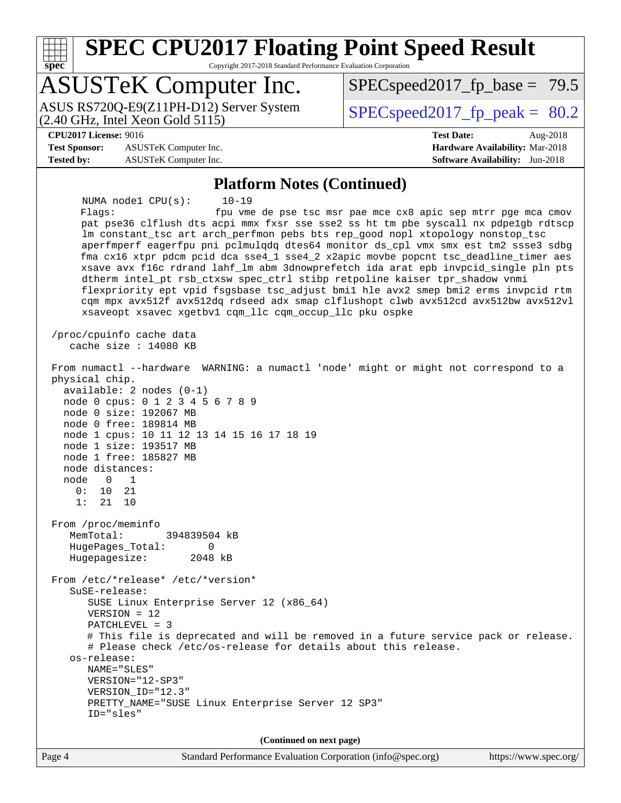**[spec](http://www.spec.org/)**

### **[SPEC CPU2017 Floating Point Speed Result](http://www.spec.org/auto/cpu2017/Docs/result-fields.html#SPECCPU2017FloatingPointSpeedResult)**

Copyright 2017-2018 Standard Performance Evaluation Corporation

### ASUSTeK Computer Inc.

(2.40 GHz, Intel Xeon Gold 5115) ASUS RS720Q-E9(Z11PH-D12) Server System  $SPEC speed2017$  fp\_peak = 80.2

 $SPECspeed2017_fp\_base = 79.5$ 

#### **[CPU2017 License:](http://www.spec.org/auto/cpu2017/Docs/result-fields.html#CPU2017License)** 9016 **[Test Date:](http://www.spec.org/auto/cpu2017/Docs/result-fields.html#TestDate)** Aug-2018

**[Test Sponsor:](http://www.spec.org/auto/cpu2017/Docs/result-fields.html#TestSponsor)** ASUSTeK Computer Inc. **[Hardware Availability:](http://www.spec.org/auto/cpu2017/Docs/result-fields.html#HardwareAvailability)** Mar-2018 **[Tested by:](http://www.spec.org/auto/cpu2017/Docs/result-fields.html#Testedby)** ASUSTeK Computer Inc. **[Software Availability:](http://www.spec.org/auto/cpu2017/Docs/result-fields.html#SoftwareAvailability)** Jun-2018

#### **[Platform Notes \(Continued\)](http://www.spec.org/auto/cpu2017/Docs/result-fields.html#PlatformNotes)**

 NUMA node1 CPU(s): 10-19 Flags: fpu vme de pse tsc msr pae mce cx8 apic sep mtrr pge mca cmov pat pse36 clflush dts acpi mmx fxsr sse sse2 ss ht tm pbe syscall nx pdpe1gb rdtscp lm constant\_tsc art arch\_perfmon pebs bts rep\_good nopl xtopology nonstop\_tsc aperfmperf eagerfpu pni pclmulqdq dtes64 monitor ds\_cpl vmx smx est tm2 ssse3 sdbg fma cx16 xtpr pdcm pcid dca sse4\_1 sse4\_2 x2apic movbe popcnt tsc\_deadline\_timer aes xsave avx f16c rdrand lahf\_lm abm 3dnowprefetch ida arat epb invpcid\_single pln pts dtherm intel\_pt rsb\_ctxsw spec\_ctrl stibp retpoline kaiser tpr\_shadow vnmi flexpriority ept vpid fsgsbase tsc\_adjust bmi1 hle avx2 smep bmi2 erms invpcid rtm cqm mpx avx512f avx512dq rdseed adx smap clflushopt clwb avx512cd avx512bw avx512vl xsaveopt xsavec xgetbv1 cqm\_llc cqm\_occup\_llc pku ospke /proc/cpuinfo cache data cache size : 14080 KB From numactl --hardware WARNING: a numactl 'node' might or might not correspond to a physical chip. available: 2 nodes (0-1) node 0 cpus: 0 1 2 3 4 5 6 7 8 9 node 0 size: 192067 MB node 0 free: 189814 MB node 1 cpus: 10 11 12 13 14 15 16 17 18 19 node 1 size: 193517 MB node 1 free: 185827 MB node distances: node 0 1 0: 10 21 1: 21 10 From /proc/meminfo MemTotal: 394839504 kB HugePages\_Total: 0 Hugepagesize: 2048 kB From /etc/\*release\* /etc/\*version\* SuSE-release: SUSE Linux Enterprise Server 12 (x86\_64) VERSION = 12 PATCHLEVEL = 3 # This file is deprecated and will be removed in a future service pack or release. # Please check /etc/os-release for details about this release. os-release: NAME="SLES" VERSION="12-SP3" VERSION\_ID="12.3" PRETTY\_NAME="SUSE Linux Enterprise Server 12 SP3" ID="sles" **(Continued on next page)**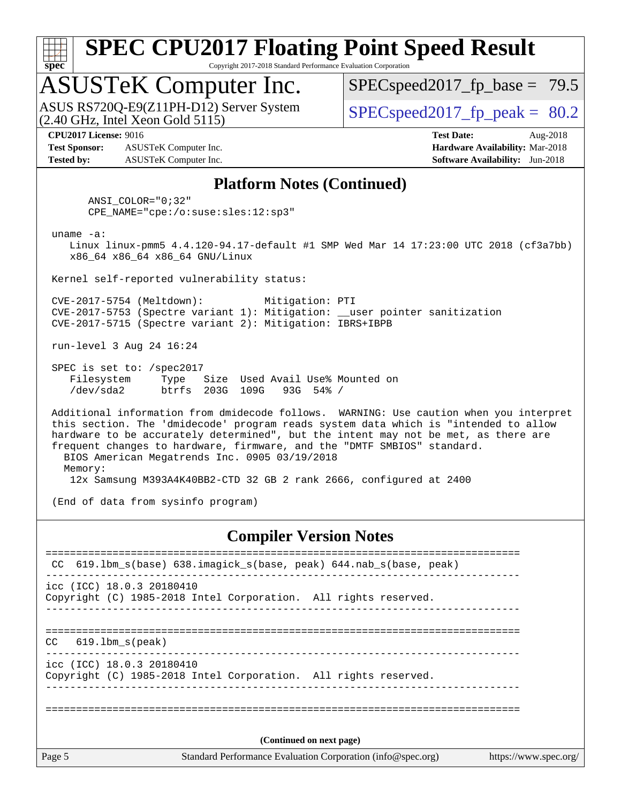

Copyright 2017-2018 Standard Performance Evaluation Corporation

### ASUSTeK Computer Inc.

 $(2.40$  GHz, Intel Xeon Gold  $5115$ ) ASUS RS720Q-E9(Z11PH-D12) Server System  $\sqrt{\text{SPEC speed2017 ft}}$  peak = 80.2

 $SPECspeed2017_fp\_base = 79.5$ 

**[Test Sponsor:](http://www.spec.org/auto/cpu2017/Docs/result-fields.html#TestSponsor)** ASUSTeK Computer Inc. **[Hardware Availability:](http://www.spec.org/auto/cpu2017/Docs/result-fields.html#HardwareAvailability)** Mar-2018 **[Tested by:](http://www.spec.org/auto/cpu2017/Docs/result-fields.html#Testedby)** ASUSTeK Computer Inc. **[Software Availability:](http://www.spec.org/auto/cpu2017/Docs/result-fields.html#SoftwareAvailability)** Jun-2018

**[CPU2017 License:](http://www.spec.org/auto/cpu2017/Docs/result-fields.html#CPU2017License)** 9016 **[Test Date:](http://www.spec.org/auto/cpu2017/Docs/result-fields.html#TestDate)** Aug-2018

#### **[Platform Notes \(Continued\)](http://www.spec.org/auto/cpu2017/Docs/result-fields.html#PlatformNotes)**

 ANSI\_COLOR="0;32" CPE\_NAME="cpe:/o:suse:sles:12:sp3"

uname -a:

 Linux linux-pmm5 4.4.120-94.17-default #1 SMP Wed Mar 14 17:23:00 UTC 2018 (cf3a7bb) x86\_64 x86\_64 x86\_64 GNU/Linux

Kernel self-reported vulnerability status:

 CVE-2017-5754 (Meltdown): Mitigation: PTI CVE-2017-5753 (Spectre variant 1): Mitigation: \_\_user pointer sanitization CVE-2017-5715 (Spectre variant 2): Mitigation: IBRS+IBPB

run-level 3 Aug 24 16:24

 SPEC is set to: /spec2017 Filesystem Type Size Used Avail Use% Mounted on /dev/sda2 btrfs 203G 109G 93G 54% /

 Additional information from dmidecode follows. WARNING: Use caution when you interpret this section. The 'dmidecode' program reads system data which is "intended to allow hardware to be accurately determined", but the intent may not be met, as there are frequent changes to hardware, firmware, and the "DMTF SMBIOS" standard. BIOS American Megatrends Inc. 0905 03/19/2018 Memory: 12x Samsung M393A4K40BB2-CTD 32 GB 2 rank 2666, configured at 2400

(End of data from sysinfo program)

#### **[Compiler Version Notes](http://www.spec.org/auto/cpu2017/Docs/result-fields.html#CompilerVersionNotes)**

|        | CC 619.1bm_s(base) 638.imagick_s(base, peak) 644.nab_s(base, peak)                                    |  |  |  |  |
|--------|-------------------------------------------------------------------------------------------------------|--|--|--|--|
|        | icc (ICC) 18.0.3 20180410<br>Copyright (C) 1985-2018 Intel Corporation. All rights reserved.          |  |  |  |  |
| CC.    | 619.1bm s(peak)                                                                                       |  |  |  |  |
|        | $\text{icc}$ (ICC) 18.0.3 20180410<br>Copyright (C) 1985-2018 Intel Corporation. All rights reserved. |  |  |  |  |
|        | (Continued on next page)                                                                              |  |  |  |  |
|        |                                                                                                       |  |  |  |  |
| Page 5 | Standard Performance Evaluation Corporation (info@spec.org)<br>https://www.spec.org/                  |  |  |  |  |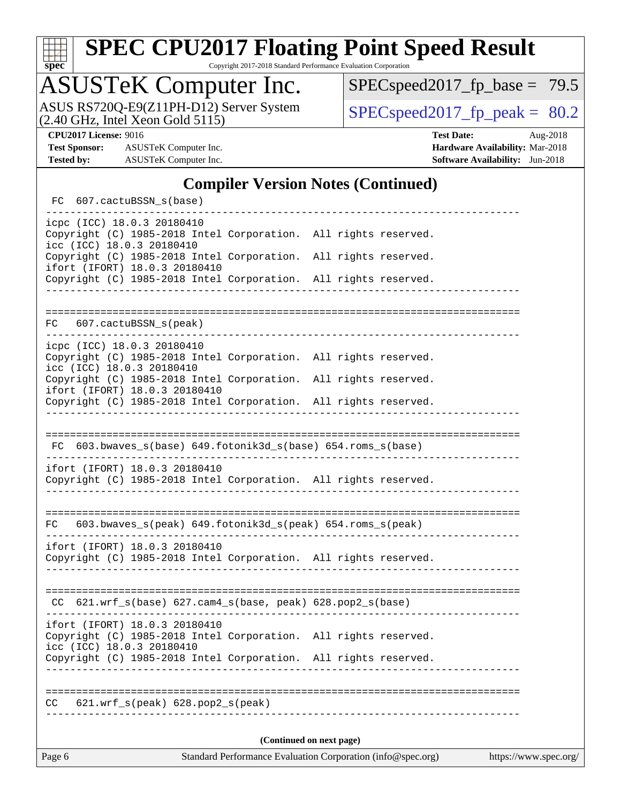

Copyright 2017-2018 Standard Performance Evaluation Corporation

### ASUSTeK Computer Inc.

ASUS RS720Q-E9(Z11PH-D12) Server System  $(2.40 \text{ GHz}, \text{ Intel Xeon Gold } 5115)$   $\big| \text{ SPECspeed2017\_fp\_peak} = 80.2$ 

[SPECspeed2017\\_fp\\_base =](http://www.spec.org/auto/cpu2017/Docs/result-fields.html#SPECspeed2017fpbase) 79.5

**[Test Sponsor:](http://www.spec.org/auto/cpu2017/Docs/result-fields.html#TestSponsor)** ASUSTeK Computer Inc. **[Hardware Availability:](http://www.spec.org/auto/cpu2017/Docs/result-fields.html#HardwareAvailability)** Mar-2018 **[Tested by:](http://www.spec.org/auto/cpu2017/Docs/result-fields.html#Testedby)** ASUSTeK Computer Inc. **[Software Availability:](http://www.spec.org/auto/cpu2017/Docs/result-fields.html#SoftwareAvailability)** Jun-2018

**[CPU2017 License:](http://www.spec.org/auto/cpu2017/Docs/result-fields.html#CPU2017License)** 9016 **[Test Date:](http://www.spec.org/auto/cpu2017/Docs/result-fields.html#TestDate)** Aug-2018

#### **[Compiler Version Notes \(Continued\)](http://www.spec.org/auto/cpu2017/Docs/result-fields.html#CompilerVersionNotes)**

| FC 607.cactuBSSN_s(base)                                                                                                         |                      |  |  |  |  |  |  |
|----------------------------------------------------------------------------------------------------------------------------------|----------------------|--|--|--|--|--|--|
| icpc (ICC) 18.0.3 20180410<br>Copyright (C) 1985-2018 Intel Corporation. All rights reserved.<br>icc (ICC) 18.0.3 20180410       |                      |  |  |  |  |  |  |
| Copyright (C) 1985-2018 Intel Corporation.<br>ifort (IFORT) 18.0.3 20180410                                                      | All rights reserved. |  |  |  |  |  |  |
| Copyright (C) 1985-2018 Intel Corporation. All rights reserved.<br>----------------------------                                  |                      |  |  |  |  |  |  |
|                                                                                                                                  |                      |  |  |  |  |  |  |
| FC 607.cactuBSSN_s(peak)                                                                                                         |                      |  |  |  |  |  |  |
| icpc (ICC) 18.0.3 20180410<br>Copyright (C) 1985-2018 Intel Corporation. All rights reserved.<br>icc (ICC) 18.0.3 20180410       |                      |  |  |  |  |  |  |
| Copyright (C) 1985-2018 Intel Corporation. All rights reserved.<br>ifort (IFORT) 18.0.3 20180410                                 |                      |  |  |  |  |  |  |
| Copyright (C) 1985-2018 Intel Corporation. All rights reserved.                                                                  |                      |  |  |  |  |  |  |
|                                                                                                                                  |                      |  |  |  |  |  |  |
| FC 603.bwaves_s(base) 649.fotonik3d_s(base) 654.roms_s(base)                                                                     |                      |  |  |  |  |  |  |
| ifort (IFORT) 18.0.3 20180410<br>Copyright (C) 1985-2018 Intel Corporation. All rights reserved.                                 |                      |  |  |  |  |  |  |
| FC 603.bwaves_s(peak) 649.fotonik3d_s(peak) 654.roms_s(peak)                                                                     |                      |  |  |  |  |  |  |
| ifort (IFORT) 18.0.3 20180410<br>Copyright (C) 1985-2018 Intel Corporation. All rights reserved.<br>____________________________ |                      |  |  |  |  |  |  |
|                                                                                                                                  |                      |  |  |  |  |  |  |
| CC $621.wrf_s(base) 627.cam4_s(base, peak) 628.pop2_s(base)$                                                                     |                      |  |  |  |  |  |  |
| ifort (IFORT) 18.0.3 20180410<br>Copyright (C) 1985-2018 Intel Corporation. All rights reserved.<br>icc (ICC) 18.0.3 20180410    |                      |  |  |  |  |  |  |
| Copyright (C) 1985-2018 Intel Corporation. All rights reserved.                                                                  |                      |  |  |  |  |  |  |
|                                                                                                                                  |                      |  |  |  |  |  |  |
| 621.wrf_s(peak) 628.pop2_s(peak)<br>CC.                                                                                          |                      |  |  |  |  |  |  |
|                                                                                                                                  |                      |  |  |  |  |  |  |
| (Continued on next page)                                                                                                         |                      |  |  |  |  |  |  |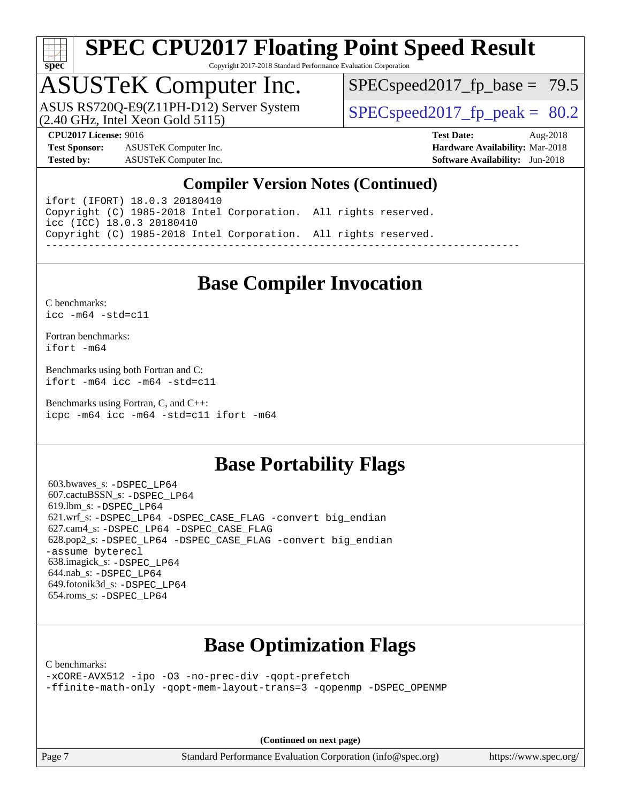

Copyright 2017-2018 Standard Performance Evaluation Corporation

# ASUSTeK Computer Inc.<br>ASUS RS720Q-E9(Z11PH-D12) Server System

(2.40 GHz, Intel Xeon Gold 5115)

 $SPECspeed2017_fp\_base = 79.5$ 

**[Test Sponsor:](http://www.spec.org/auto/cpu2017/Docs/result-fields.html#TestSponsor)** ASUSTeK Computer Inc. **[Hardware Availability:](http://www.spec.org/auto/cpu2017/Docs/result-fields.html#HardwareAvailability)** Mar-2018 **[Tested by:](http://www.spec.org/auto/cpu2017/Docs/result-fields.html#Testedby)** ASUSTeK Computer Inc. **[Software Availability:](http://www.spec.org/auto/cpu2017/Docs/result-fields.html#SoftwareAvailability)** Jun-2018

 $SPECspeed2017_fp\_peak = 80.2$ 

**[CPU2017 License:](http://www.spec.org/auto/cpu2017/Docs/result-fields.html#CPU2017License)** 9016 **[Test Date:](http://www.spec.org/auto/cpu2017/Docs/result-fields.html#TestDate)** Aug-2018

#### **[Compiler Version Notes \(Continued\)](http://www.spec.org/auto/cpu2017/Docs/result-fields.html#CompilerVersionNotes)**

ifort (IFORT) 18.0.3 20180410 Copyright (C) 1985-2018 Intel Corporation. All rights reserved. icc (ICC) 18.0.3 20180410 Copyright (C) 1985-2018 Intel Corporation. All rights reserved. ------------------------------------------------------------------------------

### **[Base Compiler Invocation](http://www.spec.org/auto/cpu2017/Docs/result-fields.html#BaseCompilerInvocation)**

[C benchmarks](http://www.spec.org/auto/cpu2017/Docs/result-fields.html#Cbenchmarks): [icc -m64 -std=c11](http://www.spec.org/cpu2017/results/res2018q4/cpu2017-20180917-08864.flags.html#user_CCbase_intel_icc_64bit_c11_33ee0cdaae7deeeab2a9725423ba97205ce30f63b9926c2519791662299b76a0318f32ddfffdc46587804de3178b4f9328c46fa7c2b0cd779d7a61945c91cd35)

[Fortran benchmarks](http://www.spec.org/auto/cpu2017/Docs/result-fields.html#Fortranbenchmarks): [ifort -m64](http://www.spec.org/cpu2017/results/res2018q4/cpu2017-20180917-08864.flags.html#user_FCbase_intel_ifort_64bit_24f2bb282fbaeffd6157abe4f878425411749daecae9a33200eee2bee2fe76f3b89351d69a8130dd5949958ce389cf37ff59a95e7a40d588e8d3a57e0c3fd751)

[Benchmarks using both Fortran and C](http://www.spec.org/auto/cpu2017/Docs/result-fields.html#BenchmarksusingbothFortranandC): [ifort -m64](http://www.spec.org/cpu2017/results/res2018q4/cpu2017-20180917-08864.flags.html#user_CC_FCbase_intel_ifort_64bit_24f2bb282fbaeffd6157abe4f878425411749daecae9a33200eee2bee2fe76f3b89351d69a8130dd5949958ce389cf37ff59a95e7a40d588e8d3a57e0c3fd751) [icc -m64 -std=c11](http://www.spec.org/cpu2017/results/res2018q4/cpu2017-20180917-08864.flags.html#user_CC_FCbase_intel_icc_64bit_c11_33ee0cdaae7deeeab2a9725423ba97205ce30f63b9926c2519791662299b76a0318f32ddfffdc46587804de3178b4f9328c46fa7c2b0cd779d7a61945c91cd35)

[Benchmarks using Fortran, C, and C++:](http://www.spec.org/auto/cpu2017/Docs/result-fields.html#BenchmarksusingFortranCandCXX) [icpc -m64](http://www.spec.org/cpu2017/results/res2018q4/cpu2017-20180917-08864.flags.html#user_CC_CXX_FCbase_intel_icpc_64bit_4ecb2543ae3f1412ef961e0650ca070fec7b7afdcd6ed48761b84423119d1bf6bdf5cad15b44d48e7256388bc77273b966e5eb805aefd121eb22e9299b2ec9d9) [icc -m64 -std=c11](http://www.spec.org/cpu2017/results/res2018q4/cpu2017-20180917-08864.flags.html#user_CC_CXX_FCbase_intel_icc_64bit_c11_33ee0cdaae7deeeab2a9725423ba97205ce30f63b9926c2519791662299b76a0318f32ddfffdc46587804de3178b4f9328c46fa7c2b0cd779d7a61945c91cd35) [ifort -m64](http://www.spec.org/cpu2017/results/res2018q4/cpu2017-20180917-08864.flags.html#user_CC_CXX_FCbase_intel_ifort_64bit_24f2bb282fbaeffd6157abe4f878425411749daecae9a33200eee2bee2fe76f3b89351d69a8130dd5949958ce389cf37ff59a95e7a40d588e8d3a57e0c3fd751)

#### **[Base Portability Flags](http://www.spec.org/auto/cpu2017/Docs/result-fields.html#BasePortabilityFlags)**

 603.bwaves\_s: [-DSPEC\\_LP64](http://www.spec.org/cpu2017/results/res2018q4/cpu2017-20180917-08864.flags.html#suite_basePORTABILITY603_bwaves_s_DSPEC_LP64) 607.cactuBSSN\_s: [-DSPEC\\_LP64](http://www.spec.org/cpu2017/results/res2018q4/cpu2017-20180917-08864.flags.html#suite_basePORTABILITY607_cactuBSSN_s_DSPEC_LP64) 619.lbm\_s: [-DSPEC\\_LP64](http://www.spec.org/cpu2017/results/res2018q4/cpu2017-20180917-08864.flags.html#suite_basePORTABILITY619_lbm_s_DSPEC_LP64) 621.wrf\_s: [-DSPEC\\_LP64](http://www.spec.org/cpu2017/results/res2018q4/cpu2017-20180917-08864.flags.html#suite_basePORTABILITY621_wrf_s_DSPEC_LP64) [-DSPEC\\_CASE\\_FLAG](http://www.spec.org/cpu2017/results/res2018q4/cpu2017-20180917-08864.flags.html#b621.wrf_s_baseCPORTABILITY_DSPEC_CASE_FLAG) [-convert big\\_endian](http://www.spec.org/cpu2017/results/res2018q4/cpu2017-20180917-08864.flags.html#user_baseFPORTABILITY621_wrf_s_convert_big_endian_c3194028bc08c63ac5d04de18c48ce6d347e4e562e8892b8bdbdc0214820426deb8554edfa529a3fb25a586e65a3d812c835984020483e7e73212c4d31a38223) 627.cam4\_s: [-DSPEC\\_LP64](http://www.spec.org/cpu2017/results/res2018q4/cpu2017-20180917-08864.flags.html#suite_basePORTABILITY627_cam4_s_DSPEC_LP64) [-DSPEC\\_CASE\\_FLAG](http://www.spec.org/cpu2017/results/res2018q4/cpu2017-20180917-08864.flags.html#b627.cam4_s_baseCPORTABILITY_DSPEC_CASE_FLAG) 628.pop2\_s: [-DSPEC\\_LP64](http://www.spec.org/cpu2017/results/res2018q4/cpu2017-20180917-08864.flags.html#suite_basePORTABILITY628_pop2_s_DSPEC_LP64) [-DSPEC\\_CASE\\_FLAG](http://www.spec.org/cpu2017/results/res2018q4/cpu2017-20180917-08864.flags.html#b628.pop2_s_baseCPORTABILITY_DSPEC_CASE_FLAG) [-convert big\\_endian](http://www.spec.org/cpu2017/results/res2018q4/cpu2017-20180917-08864.flags.html#user_baseFPORTABILITY628_pop2_s_convert_big_endian_c3194028bc08c63ac5d04de18c48ce6d347e4e562e8892b8bdbdc0214820426deb8554edfa529a3fb25a586e65a3d812c835984020483e7e73212c4d31a38223) [-assume byterecl](http://www.spec.org/cpu2017/results/res2018q4/cpu2017-20180917-08864.flags.html#user_baseFPORTABILITY628_pop2_s_assume_byterecl_7e47d18b9513cf18525430bbf0f2177aa9bf368bc7a059c09b2c06a34b53bd3447c950d3f8d6c70e3faf3a05c8557d66a5798b567902e8849adc142926523472) 638.imagick\_s: [-DSPEC\\_LP64](http://www.spec.org/cpu2017/results/res2018q4/cpu2017-20180917-08864.flags.html#suite_basePORTABILITY638_imagick_s_DSPEC_LP64) 644.nab\_s: [-DSPEC\\_LP64](http://www.spec.org/cpu2017/results/res2018q4/cpu2017-20180917-08864.flags.html#suite_basePORTABILITY644_nab_s_DSPEC_LP64) 649.fotonik3d\_s: [-DSPEC\\_LP64](http://www.spec.org/cpu2017/results/res2018q4/cpu2017-20180917-08864.flags.html#suite_basePORTABILITY649_fotonik3d_s_DSPEC_LP64) 654.roms\_s: [-DSPEC\\_LP64](http://www.spec.org/cpu2017/results/res2018q4/cpu2017-20180917-08864.flags.html#suite_basePORTABILITY654_roms_s_DSPEC_LP64)

### **[Base Optimization Flags](http://www.spec.org/auto/cpu2017/Docs/result-fields.html#BaseOptimizationFlags)**

[C benchmarks](http://www.spec.org/auto/cpu2017/Docs/result-fields.html#Cbenchmarks):

[-xCORE-AVX512](http://www.spec.org/cpu2017/results/res2018q4/cpu2017-20180917-08864.flags.html#user_CCbase_f-xCORE-AVX512) [-ipo](http://www.spec.org/cpu2017/results/res2018q4/cpu2017-20180917-08864.flags.html#user_CCbase_f-ipo) [-O3](http://www.spec.org/cpu2017/results/res2018q4/cpu2017-20180917-08864.flags.html#user_CCbase_f-O3) [-no-prec-div](http://www.spec.org/cpu2017/results/res2018q4/cpu2017-20180917-08864.flags.html#user_CCbase_f-no-prec-div) [-qopt-prefetch](http://www.spec.org/cpu2017/results/res2018q4/cpu2017-20180917-08864.flags.html#user_CCbase_f-qopt-prefetch) [-ffinite-math-only](http://www.spec.org/cpu2017/results/res2018q4/cpu2017-20180917-08864.flags.html#user_CCbase_f_finite_math_only_cb91587bd2077682c4b38af759c288ed7c732db004271a9512da14a4f8007909a5f1427ecbf1a0fb78ff2a814402c6114ac565ca162485bbcae155b5e4258871) [-qopt-mem-layout-trans=3](http://www.spec.org/cpu2017/results/res2018q4/cpu2017-20180917-08864.flags.html#user_CCbase_f-qopt-mem-layout-trans_de80db37974c74b1f0e20d883f0b675c88c3b01e9d123adea9b28688d64333345fb62bc4a798493513fdb68f60282f9a726aa07f478b2f7113531aecce732043) [-qopenmp](http://www.spec.org/cpu2017/results/res2018q4/cpu2017-20180917-08864.flags.html#user_CCbase_qopenmp_16be0c44f24f464004c6784a7acb94aca937f053568ce72f94b139a11c7c168634a55f6653758ddd83bcf7b8463e8028bb0b48b77bcddc6b78d5d95bb1df2967) [-DSPEC\\_OPENMP](http://www.spec.org/cpu2017/results/res2018q4/cpu2017-20180917-08864.flags.html#suite_CCbase_DSPEC_OPENMP)

**(Continued on next page)**

Page 7 Standard Performance Evaluation Corporation [\(info@spec.org\)](mailto:info@spec.org) <https://www.spec.org/>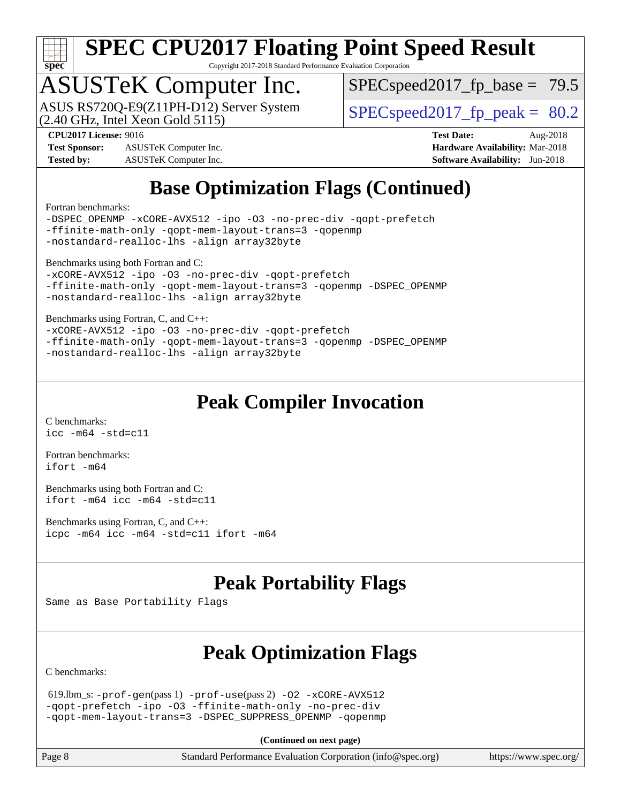

Copyright 2017-2018 Standard Performance Evaluation Corporation

### ASUSTeK Computer Inc.

(2.40 GHz, Intel Xeon Gold 5115) ASUS RS720Q-E9(Z11PH-D12) Server System  $\sqrt{\text{SPEC speed2017\_fp\_peak}} = 80.2$ 

 $SPECspeed2017_fp\_base = 79.5$ 

**[Test Sponsor:](http://www.spec.org/auto/cpu2017/Docs/result-fields.html#TestSponsor)** ASUSTeK Computer Inc. **[Hardware Availability:](http://www.spec.org/auto/cpu2017/Docs/result-fields.html#HardwareAvailability)** Mar-2018 **[Tested by:](http://www.spec.org/auto/cpu2017/Docs/result-fields.html#Testedby)** ASUSTeK Computer Inc. **[Software Availability:](http://www.spec.org/auto/cpu2017/Docs/result-fields.html#SoftwareAvailability)** Jun-2018

**[CPU2017 License:](http://www.spec.org/auto/cpu2017/Docs/result-fields.html#CPU2017License)** 9016 **[Test Date:](http://www.spec.org/auto/cpu2017/Docs/result-fields.html#TestDate)** Aug-2018

### **[Base Optimization Flags \(Continued\)](http://www.spec.org/auto/cpu2017/Docs/result-fields.html#BaseOptimizationFlags)**

[Fortran benchmarks](http://www.spec.org/auto/cpu2017/Docs/result-fields.html#Fortranbenchmarks):

[-DSPEC\\_OPENMP](http://www.spec.org/cpu2017/results/res2018q4/cpu2017-20180917-08864.flags.html#suite_FCbase_DSPEC_OPENMP) [-xCORE-AVX512](http://www.spec.org/cpu2017/results/res2018q4/cpu2017-20180917-08864.flags.html#user_FCbase_f-xCORE-AVX512) [-ipo](http://www.spec.org/cpu2017/results/res2018q4/cpu2017-20180917-08864.flags.html#user_FCbase_f-ipo) [-O3](http://www.spec.org/cpu2017/results/res2018q4/cpu2017-20180917-08864.flags.html#user_FCbase_f-O3) [-no-prec-div](http://www.spec.org/cpu2017/results/res2018q4/cpu2017-20180917-08864.flags.html#user_FCbase_f-no-prec-div) [-qopt-prefetch](http://www.spec.org/cpu2017/results/res2018q4/cpu2017-20180917-08864.flags.html#user_FCbase_f-qopt-prefetch) [-ffinite-math-only](http://www.spec.org/cpu2017/results/res2018q4/cpu2017-20180917-08864.flags.html#user_FCbase_f_finite_math_only_cb91587bd2077682c4b38af759c288ed7c732db004271a9512da14a4f8007909a5f1427ecbf1a0fb78ff2a814402c6114ac565ca162485bbcae155b5e4258871) [-qopt-mem-layout-trans=3](http://www.spec.org/cpu2017/results/res2018q4/cpu2017-20180917-08864.flags.html#user_FCbase_f-qopt-mem-layout-trans_de80db37974c74b1f0e20d883f0b675c88c3b01e9d123adea9b28688d64333345fb62bc4a798493513fdb68f60282f9a726aa07f478b2f7113531aecce732043) [-qopenmp](http://www.spec.org/cpu2017/results/res2018q4/cpu2017-20180917-08864.flags.html#user_FCbase_qopenmp_16be0c44f24f464004c6784a7acb94aca937f053568ce72f94b139a11c7c168634a55f6653758ddd83bcf7b8463e8028bb0b48b77bcddc6b78d5d95bb1df2967) [-nostandard-realloc-lhs](http://www.spec.org/cpu2017/results/res2018q4/cpu2017-20180917-08864.flags.html#user_FCbase_f_2003_std_realloc_82b4557e90729c0f113870c07e44d33d6f5a304b4f63d4c15d2d0f1fab99f5daaed73bdb9275d9ae411527f28b936061aa8b9c8f2d63842963b95c9dd6426b8a) [-align array32byte](http://www.spec.org/cpu2017/results/res2018q4/cpu2017-20180917-08864.flags.html#user_FCbase_align_array32byte_b982fe038af199962ba9a80c053b8342c548c85b40b8e86eb3cc33dee0d7986a4af373ac2d51c3f7cf710a18d62fdce2948f201cd044323541f22fc0fffc51b6)

[Benchmarks using both Fortran and C](http://www.spec.org/auto/cpu2017/Docs/result-fields.html#BenchmarksusingbothFortranandC):

```
-xCORE-AVX512 -ipo -O3 -no-prec-div -qopt-prefetch
-ffinite-math-only -qopt-mem-layout-trans=3 -qopenmp -DSPEC_OPENMP
-nostandard-realloc-lhs -align array32byte
```
[Benchmarks using Fortran, C, and C++:](http://www.spec.org/auto/cpu2017/Docs/result-fields.html#BenchmarksusingFortranCandCXX)

```
-xCORE-AVX512-ipo-no-prec-div-qopt-prefetch
-ffinite-math-only -qopt-mem-layout-trans=3 -qopenmp -DSPEC_OPENMP
-nostandard-realloc-lhs -align array32byte
```
### **[Peak Compiler Invocation](http://www.spec.org/auto/cpu2017/Docs/result-fields.html#PeakCompilerInvocation)**

[C benchmarks](http://www.spec.org/auto/cpu2017/Docs/result-fields.html#Cbenchmarks):  $\text{icc}$  -m64 -std=c11

[Fortran benchmarks](http://www.spec.org/auto/cpu2017/Docs/result-fields.html#Fortranbenchmarks): [ifort -m64](http://www.spec.org/cpu2017/results/res2018q4/cpu2017-20180917-08864.flags.html#user_FCpeak_intel_ifort_64bit_24f2bb282fbaeffd6157abe4f878425411749daecae9a33200eee2bee2fe76f3b89351d69a8130dd5949958ce389cf37ff59a95e7a40d588e8d3a57e0c3fd751)

[Benchmarks using both Fortran and C](http://www.spec.org/auto/cpu2017/Docs/result-fields.html#BenchmarksusingbothFortranandC): [ifort -m64](http://www.spec.org/cpu2017/results/res2018q4/cpu2017-20180917-08864.flags.html#user_CC_FCpeak_intel_ifort_64bit_24f2bb282fbaeffd6157abe4f878425411749daecae9a33200eee2bee2fe76f3b89351d69a8130dd5949958ce389cf37ff59a95e7a40d588e8d3a57e0c3fd751) [icc -m64 -std=c11](http://www.spec.org/cpu2017/results/res2018q4/cpu2017-20180917-08864.flags.html#user_CC_FCpeak_intel_icc_64bit_c11_33ee0cdaae7deeeab2a9725423ba97205ce30f63b9926c2519791662299b76a0318f32ddfffdc46587804de3178b4f9328c46fa7c2b0cd779d7a61945c91cd35)

[Benchmarks using Fortran, C, and C++:](http://www.spec.org/auto/cpu2017/Docs/result-fields.html#BenchmarksusingFortranCandCXX) [icpc -m64](http://www.spec.org/cpu2017/results/res2018q4/cpu2017-20180917-08864.flags.html#user_CC_CXX_FCpeak_intel_icpc_64bit_4ecb2543ae3f1412ef961e0650ca070fec7b7afdcd6ed48761b84423119d1bf6bdf5cad15b44d48e7256388bc77273b966e5eb805aefd121eb22e9299b2ec9d9) [icc -m64 -std=c11](http://www.spec.org/cpu2017/results/res2018q4/cpu2017-20180917-08864.flags.html#user_CC_CXX_FCpeak_intel_icc_64bit_c11_33ee0cdaae7deeeab2a9725423ba97205ce30f63b9926c2519791662299b76a0318f32ddfffdc46587804de3178b4f9328c46fa7c2b0cd779d7a61945c91cd35) [ifort -m64](http://www.spec.org/cpu2017/results/res2018q4/cpu2017-20180917-08864.flags.html#user_CC_CXX_FCpeak_intel_ifort_64bit_24f2bb282fbaeffd6157abe4f878425411749daecae9a33200eee2bee2fe76f3b89351d69a8130dd5949958ce389cf37ff59a95e7a40d588e8d3a57e0c3fd751)

### **[Peak Portability Flags](http://www.spec.org/auto/cpu2017/Docs/result-fields.html#PeakPortabilityFlags)**

Same as Base Portability Flags

### **[Peak Optimization Flags](http://www.spec.org/auto/cpu2017/Docs/result-fields.html#PeakOptimizationFlags)**

[C benchmarks](http://www.spec.org/auto/cpu2017/Docs/result-fields.html#Cbenchmarks):

 619.lbm\_s: [-prof-gen](http://www.spec.org/cpu2017/results/res2018q4/cpu2017-20180917-08864.flags.html#user_peakPASS1_CFLAGSPASS1_LDFLAGS619_lbm_s_prof_gen_5aa4926d6013ddb2a31985c654b3eb18169fc0c6952a63635c234f711e6e63dd76e94ad52365559451ec499a2cdb89e4dc58ba4c67ef54ca681ffbe1461d6b36)(pass 1) [-prof-use](http://www.spec.org/cpu2017/results/res2018q4/cpu2017-20180917-08864.flags.html#user_peakPASS2_CFLAGSPASS2_LDFLAGS619_lbm_s_prof_use_1a21ceae95f36a2b53c25747139a6c16ca95bd9def2a207b4f0849963b97e94f5260e30a0c64f4bb623698870e679ca08317ef8150905d41bd88c6f78df73f19)(pass 2) [-O2](http://www.spec.org/cpu2017/results/res2018q4/cpu2017-20180917-08864.flags.html#user_peakPASS1_COPTIMIZE619_lbm_s_f-O2) [-xCORE-AVX512](http://www.spec.org/cpu2017/results/res2018q4/cpu2017-20180917-08864.flags.html#user_peakPASS2_COPTIMIZE619_lbm_s_f-xCORE-AVX512) [-qopt-prefetch](http://www.spec.org/cpu2017/results/res2018q4/cpu2017-20180917-08864.flags.html#user_peakPASS1_COPTIMIZEPASS2_COPTIMIZE619_lbm_s_f-qopt-prefetch) [-ipo](http://www.spec.org/cpu2017/results/res2018q4/cpu2017-20180917-08864.flags.html#user_peakPASS2_COPTIMIZE619_lbm_s_f-ipo) [-O3](http://www.spec.org/cpu2017/results/res2018q4/cpu2017-20180917-08864.flags.html#user_peakPASS2_COPTIMIZE619_lbm_s_f-O3) [-ffinite-math-only](http://www.spec.org/cpu2017/results/res2018q4/cpu2017-20180917-08864.flags.html#user_peakPASS1_COPTIMIZEPASS2_COPTIMIZE619_lbm_s_f_finite_math_only_cb91587bd2077682c4b38af759c288ed7c732db004271a9512da14a4f8007909a5f1427ecbf1a0fb78ff2a814402c6114ac565ca162485bbcae155b5e4258871) [-no-prec-div](http://www.spec.org/cpu2017/results/res2018q4/cpu2017-20180917-08864.flags.html#user_peakPASS2_COPTIMIZE619_lbm_s_f-no-prec-div) [-qopt-mem-layout-trans=3](http://www.spec.org/cpu2017/results/res2018q4/cpu2017-20180917-08864.flags.html#user_peakPASS1_COPTIMIZEPASS2_COPTIMIZE619_lbm_s_f-qopt-mem-layout-trans_de80db37974c74b1f0e20d883f0b675c88c3b01e9d123adea9b28688d64333345fb62bc4a798493513fdb68f60282f9a726aa07f478b2f7113531aecce732043) [-DSPEC\\_SUPPRESS\\_OPENMP](http://www.spec.org/cpu2017/results/res2018q4/cpu2017-20180917-08864.flags.html#suite_peakPASS1_COPTIMIZE619_lbm_s_DSPEC_SUPPRESS_OPENMP) [-qopenmp](http://www.spec.org/cpu2017/results/res2018q4/cpu2017-20180917-08864.flags.html#user_peakPASS2_COPTIMIZE619_lbm_s_qopenmp_16be0c44f24f464004c6784a7acb94aca937f053568ce72f94b139a11c7c168634a55f6653758ddd83bcf7b8463e8028bb0b48b77bcddc6b78d5d95bb1df2967)

**(Continued on next page)**

Page 8 Standard Performance Evaluation Corporation [\(info@spec.org\)](mailto:info@spec.org) <https://www.spec.org/>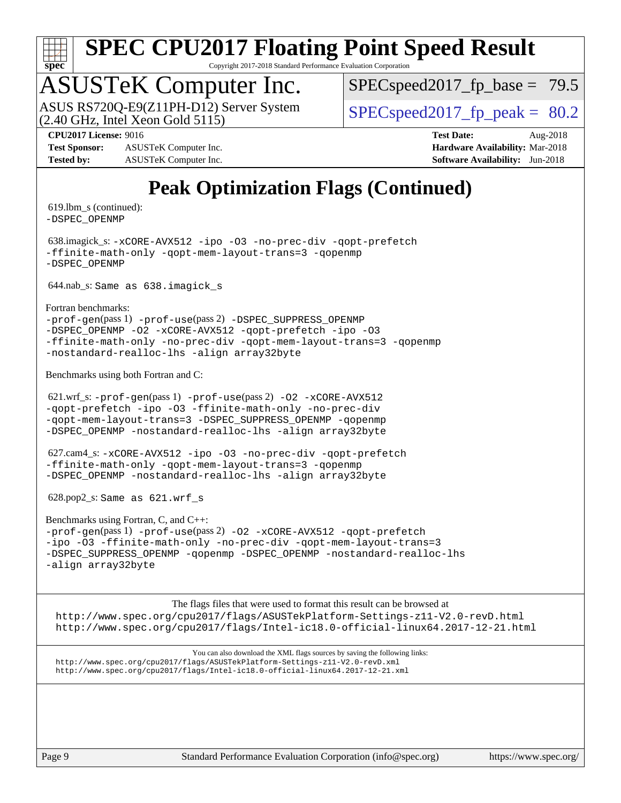

Copyright 2017-2018 Standard Performance Evaluation Corporation

# ASUSTeK Computer Inc.<br>ASUS RS720Q-E9(Z11PH-D12) Server System

 $(2.40$  GHz, Intel Xeon Gold  $5115$ )

 $SPECspeed2017_fp\_base = 79.5$ 

 $SPECspeed2017_fp\_peak = 80.2$ 

**[Test Sponsor:](http://www.spec.org/auto/cpu2017/Docs/result-fields.html#TestSponsor)** ASUSTeK Computer Inc. **[Hardware Availability:](http://www.spec.org/auto/cpu2017/Docs/result-fields.html#HardwareAvailability)** Mar-2018 **[Tested by:](http://www.spec.org/auto/cpu2017/Docs/result-fields.html#Testedby)** ASUSTeK Computer Inc. **[Software Availability:](http://www.spec.org/auto/cpu2017/Docs/result-fields.html#SoftwareAvailability)** Jun-2018

**[CPU2017 License:](http://www.spec.org/auto/cpu2017/Docs/result-fields.html#CPU2017License)** 9016 **[Test Date:](http://www.spec.org/auto/cpu2017/Docs/result-fields.html#TestDate)** Aug-2018

### **[Peak Optimization Flags \(Continued\)](http://www.spec.org/auto/cpu2017/Docs/result-fields.html#PeakOptimizationFlags)**

 619.lbm\_s (continued): [-DSPEC\\_OPENMP](http://www.spec.org/cpu2017/results/res2018q4/cpu2017-20180917-08864.flags.html#suite_peakPASS2_COPTIMIZE619_lbm_s_DSPEC_OPENMP)

 638.imagick\_s: [-xCORE-AVX512](http://www.spec.org/cpu2017/results/res2018q4/cpu2017-20180917-08864.flags.html#user_peakCOPTIMIZE638_imagick_s_f-xCORE-AVX512) [-ipo](http://www.spec.org/cpu2017/results/res2018q4/cpu2017-20180917-08864.flags.html#user_peakCOPTIMIZE638_imagick_s_f-ipo) [-O3](http://www.spec.org/cpu2017/results/res2018q4/cpu2017-20180917-08864.flags.html#user_peakCOPTIMIZE638_imagick_s_f-O3) [-no-prec-div](http://www.spec.org/cpu2017/results/res2018q4/cpu2017-20180917-08864.flags.html#user_peakCOPTIMIZE638_imagick_s_f-no-prec-div) [-qopt-prefetch](http://www.spec.org/cpu2017/results/res2018q4/cpu2017-20180917-08864.flags.html#user_peakCOPTIMIZE638_imagick_s_f-qopt-prefetch) [-ffinite-math-only](http://www.spec.org/cpu2017/results/res2018q4/cpu2017-20180917-08864.flags.html#user_peakCOPTIMIZE638_imagick_s_f_finite_math_only_cb91587bd2077682c4b38af759c288ed7c732db004271a9512da14a4f8007909a5f1427ecbf1a0fb78ff2a814402c6114ac565ca162485bbcae155b5e4258871) [-qopt-mem-layout-trans=3](http://www.spec.org/cpu2017/results/res2018q4/cpu2017-20180917-08864.flags.html#user_peakCOPTIMIZE638_imagick_s_f-qopt-mem-layout-trans_de80db37974c74b1f0e20d883f0b675c88c3b01e9d123adea9b28688d64333345fb62bc4a798493513fdb68f60282f9a726aa07f478b2f7113531aecce732043) [-qopenmp](http://www.spec.org/cpu2017/results/res2018q4/cpu2017-20180917-08864.flags.html#user_peakCOPTIMIZE638_imagick_s_qopenmp_16be0c44f24f464004c6784a7acb94aca937f053568ce72f94b139a11c7c168634a55f6653758ddd83bcf7b8463e8028bb0b48b77bcddc6b78d5d95bb1df2967) [-DSPEC\\_OPENMP](http://www.spec.org/cpu2017/results/res2018q4/cpu2017-20180917-08864.flags.html#suite_peakCOPTIMIZE638_imagick_s_DSPEC_OPENMP)

644.nab\_s: Same as 638.imagick\_s

[Fortran benchmarks](http://www.spec.org/auto/cpu2017/Docs/result-fields.html#Fortranbenchmarks):

[-prof-gen](http://www.spec.org/cpu2017/results/res2018q4/cpu2017-20180917-08864.flags.html#user_FCpeak_prof_gen_5aa4926d6013ddb2a31985c654b3eb18169fc0c6952a63635c234f711e6e63dd76e94ad52365559451ec499a2cdb89e4dc58ba4c67ef54ca681ffbe1461d6b36)(pass 1) [-prof-use](http://www.spec.org/cpu2017/results/res2018q4/cpu2017-20180917-08864.flags.html#user_FCpeak_prof_use_1a21ceae95f36a2b53c25747139a6c16ca95bd9def2a207b4f0849963b97e94f5260e30a0c64f4bb623698870e679ca08317ef8150905d41bd88c6f78df73f19)(pass 2) [-DSPEC\\_SUPPRESS\\_OPENMP](http://www.spec.org/cpu2017/results/res2018q4/cpu2017-20180917-08864.flags.html#suite_FCpeak_DSPEC_SUPPRESS_OPENMP) [-DSPEC\\_OPENMP](http://www.spec.org/cpu2017/results/res2018q4/cpu2017-20180917-08864.flags.html#suite_FCpeak_DSPEC_OPENMP) [-O2](http://www.spec.org/cpu2017/results/res2018q4/cpu2017-20180917-08864.flags.html#user_FCpeak_f-O2) [-xCORE-AVX512](http://www.spec.org/cpu2017/results/res2018q4/cpu2017-20180917-08864.flags.html#user_FCpeak_f-xCORE-AVX512) [-qopt-prefetch](http://www.spec.org/cpu2017/results/res2018q4/cpu2017-20180917-08864.flags.html#user_FCpeak_f-qopt-prefetch) [-ipo](http://www.spec.org/cpu2017/results/res2018q4/cpu2017-20180917-08864.flags.html#user_FCpeak_f-ipo) [-O3](http://www.spec.org/cpu2017/results/res2018q4/cpu2017-20180917-08864.flags.html#user_FCpeak_f-O3) [-ffinite-math-only](http://www.spec.org/cpu2017/results/res2018q4/cpu2017-20180917-08864.flags.html#user_FCpeak_f_finite_math_only_cb91587bd2077682c4b38af759c288ed7c732db004271a9512da14a4f8007909a5f1427ecbf1a0fb78ff2a814402c6114ac565ca162485bbcae155b5e4258871) [-no-prec-div](http://www.spec.org/cpu2017/results/res2018q4/cpu2017-20180917-08864.flags.html#user_FCpeak_f-no-prec-div) [-qopt-mem-layout-trans=3](http://www.spec.org/cpu2017/results/res2018q4/cpu2017-20180917-08864.flags.html#user_FCpeak_f-qopt-mem-layout-trans_de80db37974c74b1f0e20d883f0b675c88c3b01e9d123adea9b28688d64333345fb62bc4a798493513fdb68f60282f9a726aa07f478b2f7113531aecce732043) [-qopenmp](http://www.spec.org/cpu2017/results/res2018q4/cpu2017-20180917-08864.flags.html#user_FCpeak_qopenmp_16be0c44f24f464004c6784a7acb94aca937f053568ce72f94b139a11c7c168634a55f6653758ddd83bcf7b8463e8028bb0b48b77bcddc6b78d5d95bb1df2967) [-nostandard-realloc-lhs](http://www.spec.org/cpu2017/results/res2018q4/cpu2017-20180917-08864.flags.html#user_FCpeak_f_2003_std_realloc_82b4557e90729c0f113870c07e44d33d6f5a304b4f63d4c15d2d0f1fab99f5daaed73bdb9275d9ae411527f28b936061aa8b9c8f2d63842963b95c9dd6426b8a) [-align array32byte](http://www.spec.org/cpu2017/results/res2018q4/cpu2017-20180917-08864.flags.html#user_FCpeak_align_array32byte_b982fe038af199962ba9a80c053b8342c548c85b40b8e86eb3cc33dee0d7986a4af373ac2d51c3f7cf710a18d62fdce2948f201cd044323541f22fc0fffc51b6)

[Benchmarks using both Fortran and C](http://www.spec.org/auto/cpu2017/Docs/result-fields.html#BenchmarksusingbothFortranandC):

 621.wrf\_s: [-prof-gen](http://www.spec.org/cpu2017/results/res2018q4/cpu2017-20180917-08864.flags.html#user_peakPASS1_CFLAGSPASS1_FFLAGSPASS1_LDFLAGS621_wrf_s_prof_gen_5aa4926d6013ddb2a31985c654b3eb18169fc0c6952a63635c234f711e6e63dd76e94ad52365559451ec499a2cdb89e4dc58ba4c67ef54ca681ffbe1461d6b36)(pass 1) [-prof-use](http://www.spec.org/cpu2017/results/res2018q4/cpu2017-20180917-08864.flags.html#user_peakPASS2_CFLAGSPASS2_FFLAGSPASS2_LDFLAGS621_wrf_s_prof_use_1a21ceae95f36a2b53c25747139a6c16ca95bd9def2a207b4f0849963b97e94f5260e30a0c64f4bb623698870e679ca08317ef8150905d41bd88c6f78df73f19)(pass 2) [-O2](http://www.spec.org/cpu2017/results/res2018q4/cpu2017-20180917-08864.flags.html#user_peakPASS1_COPTIMIZEPASS1_FOPTIMIZE621_wrf_s_f-O2) [-xCORE-AVX512](http://www.spec.org/cpu2017/results/res2018q4/cpu2017-20180917-08864.flags.html#user_peakPASS2_COPTIMIZEPASS2_FOPTIMIZE621_wrf_s_f-xCORE-AVX512) [-qopt-prefetch](http://www.spec.org/cpu2017/results/res2018q4/cpu2017-20180917-08864.flags.html#user_peakPASS1_COPTIMIZEPASS1_FOPTIMIZEPASS2_COPTIMIZEPASS2_FOPTIMIZE621_wrf_s_f-qopt-prefetch) [-ipo](http://www.spec.org/cpu2017/results/res2018q4/cpu2017-20180917-08864.flags.html#user_peakPASS2_COPTIMIZEPASS2_FOPTIMIZE621_wrf_s_f-ipo) [-O3](http://www.spec.org/cpu2017/results/res2018q4/cpu2017-20180917-08864.flags.html#user_peakPASS2_COPTIMIZEPASS2_FOPTIMIZE621_wrf_s_f-O3) [-ffinite-math-only](http://www.spec.org/cpu2017/results/res2018q4/cpu2017-20180917-08864.flags.html#user_peakPASS1_COPTIMIZEPASS1_FOPTIMIZEPASS2_COPTIMIZEPASS2_FOPTIMIZE621_wrf_s_f_finite_math_only_cb91587bd2077682c4b38af759c288ed7c732db004271a9512da14a4f8007909a5f1427ecbf1a0fb78ff2a814402c6114ac565ca162485bbcae155b5e4258871) [-no-prec-div](http://www.spec.org/cpu2017/results/res2018q4/cpu2017-20180917-08864.flags.html#user_peakPASS2_COPTIMIZEPASS2_FOPTIMIZE621_wrf_s_f-no-prec-div) [-qopt-mem-layout-trans=3](http://www.spec.org/cpu2017/results/res2018q4/cpu2017-20180917-08864.flags.html#user_peakPASS1_COPTIMIZEPASS1_FOPTIMIZEPASS2_COPTIMIZEPASS2_FOPTIMIZE621_wrf_s_f-qopt-mem-layout-trans_de80db37974c74b1f0e20d883f0b675c88c3b01e9d123adea9b28688d64333345fb62bc4a798493513fdb68f60282f9a726aa07f478b2f7113531aecce732043) [-DSPEC\\_SUPPRESS\\_OPENMP](http://www.spec.org/cpu2017/results/res2018q4/cpu2017-20180917-08864.flags.html#suite_peakPASS1_COPTIMIZEPASS1_FOPTIMIZE621_wrf_s_DSPEC_SUPPRESS_OPENMP) [-qopenmp](http://www.spec.org/cpu2017/results/res2018q4/cpu2017-20180917-08864.flags.html#user_peakPASS2_COPTIMIZEPASS2_FOPTIMIZE621_wrf_s_qopenmp_16be0c44f24f464004c6784a7acb94aca937f053568ce72f94b139a11c7c168634a55f6653758ddd83bcf7b8463e8028bb0b48b77bcddc6b78d5d95bb1df2967) [-DSPEC\\_OPENMP](http://www.spec.org/cpu2017/results/res2018q4/cpu2017-20180917-08864.flags.html#suite_peakPASS2_COPTIMIZEPASS2_FOPTIMIZE621_wrf_s_DSPEC_OPENMP) [-nostandard-realloc-lhs](http://www.spec.org/cpu2017/results/res2018q4/cpu2017-20180917-08864.flags.html#user_peakEXTRA_FOPTIMIZE621_wrf_s_f_2003_std_realloc_82b4557e90729c0f113870c07e44d33d6f5a304b4f63d4c15d2d0f1fab99f5daaed73bdb9275d9ae411527f28b936061aa8b9c8f2d63842963b95c9dd6426b8a) [-align array32byte](http://www.spec.org/cpu2017/results/res2018q4/cpu2017-20180917-08864.flags.html#user_peakEXTRA_FOPTIMIZE621_wrf_s_align_array32byte_b982fe038af199962ba9a80c053b8342c548c85b40b8e86eb3cc33dee0d7986a4af373ac2d51c3f7cf710a18d62fdce2948f201cd044323541f22fc0fffc51b6)

 627.cam4\_s: [-xCORE-AVX512](http://www.spec.org/cpu2017/results/res2018q4/cpu2017-20180917-08864.flags.html#user_peakCOPTIMIZEFOPTIMIZE627_cam4_s_f-xCORE-AVX512) [-ipo](http://www.spec.org/cpu2017/results/res2018q4/cpu2017-20180917-08864.flags.html#user_peakCOPTIMIZEFOPTIMIZE627_cam4_s_f-ipo) [-O3](http://www.spec.org/cpu2017/results/res2018q4/cpu2017-20180917-08864.flags.html#user_peakCOPTIMIZEFOPTIMIZE627_cam4_s_f-O3) [-no-prec-div](http://www.spec.org/cpu2017/results/res2018q4/cpu2017-20180917-08864.flags.html#user_peakCOPTIMIZEFOPTIMIZE627_cam4_s_f-no-prec-div) [-qopt-prefetch](http://www.spec.org/cpu2017/results/res2018q4/cpu2017-20180917-08864.flags.html#user_peakCOPTIMIZEFOPTIMIZE627_cam4_s_f-qopt-prefetch) [-ffinite-math-only](http://www.spec.org/cpu2017/results/res2018q4/cpu2017-20180917-08864.flags.html#user_peakCOPTIMIZEFOPTIMIZE627_cam4_s_f_finite_math_only_cb91587bd2077682c4b38af759c288ed7c732db004271a9512da14a4f8007909a5f1427ecbf1a0fb78ff2a814402c6114ac565ca162485bbcae155b5e4258871) [-qopt-mem-layout-trans=3](http://www.spec.org/cpu2017/results/res2018q4/cpu2017-20180917-08864.flags.html#user_peakCOPTIMIZEFOPTIMIZE627_cam4_s_f-qopt-mem-layout-trans_de80db37974c74b1f0e20d883f0b675c88c3b01e9d123adea9b28688d64333345fb62bc4a798493513fdb68f60282f9a726aa07f478b2f7113531aecce732043) [-qopenmp](http://www.spec.org/cpu2017/results/res2018q4/cpu2017-20180917-08864.flags.html#user_peakCOPTIMIZEFOPTIMIZE627_cam4_s_qopenmp_16be0c44f24f464004c6784a7acb94aca937f053568ce72f94b139a11c7c168634a55f6653758ddd83bcf7b8463e8028bb0b48b77bcddc6b78d5d95bb1df2967) [-DSPEC\\_OPENMP](http://www.spec.org/cpu2017/results/res2018q4/cpu2017-20180917-08864.flags.html#suite_peakCOPTIMIZEFOPTIMIZE627_cam4_s_DSPEC_OPENMP) [-nostandard-realloc-lhs](http://www.spec.org/cpu2017/results/res2018q4/cpu2017-20180917-08864.flags.html#user_peakEXTRA_FOPTIMIZE627_cam4_s_f_2003_std_realloc_82b4557e90729c0f113870c07e44d33d6f5a304b4f63d4c15d2d0f1fab99f5daaed73bdb9275d9ae411527f28b936061aa8b9c8f2d63842963b95c9dd6426b8a) [-align array32byte](http://www.spec.org/cpu2017/results/res2018q4/cpu2017-20180917-08864.flags.html#user_peakEXTRA_FOPTIMIZE627_cam4_s_align_array32byte_b982fe038af199962ba9a80c053b8342c548c85b40b8e86eb3cc33dee0d7986a4af373ac2d51c3f7cf710a18d62fdce2948f201cd044323541f22fc0fffc51b6)

628.pop2\_s: Same as 621.wrf\_s

[Benchmarks using Fortran, C, and C++:](http://www.spec.org/auto/cpu2017/Docs/result-fields.html#BenchmarksusingFortranCandCXX) [-prof-gen](http://www.spec.org/cpu2017/results/res2018q4/cpu2017-20180917-08864.flags.html#user_CC_CXX_FCpeak_prof_gen_5aa4926d6013ddb2a31985c654b3eb18169fc0c6952a63635c234f711e6e63dd76e94ad52365559451ec499a2cdb89e4dc58ba4c67ef54ca681ffbe1461d6b36)(pass 1) [-prof-use](http://www.spec.org/cpu2017/results/res2018q4/cpu2017-20180917-08864.flags.html#user_CC_CXX_FCpeak_prof_use_1a21ceae95f36a2b53c25747139a6c16ca95bd9def2a207b4f0849963b97e94f5260e30a0c64f4bb623698870e679ca08317ef8150905d41bd88c6f78df73f19)(pass 2) [-O2](http://www.spec.org/cpu2017/results/res2018q4/cpu2017-20180917-08864.flags.html#user_CC_CXX_FCpeak_f-O2) [-xCORE-AVX512](http://www.spec.org/cpu2017/results/res2018q4/cpu2017-20180917-08864.flags.html#user_CC_CXX_FCpeak_f-xCORE-AVX512) [-qopt-prefetch](http://www.spec.org/cpu2017/results/res2018q4/cpu2017-20180917-08864.flags.html#user_CC_CXX_FCpeak_f-qopt-prefetch) [-ipo](http://www.spec.org/cpu2017/results/res2018q4/cpu2017-20180917-08864.flags.html#user_CC_CXX_FCpeak_f-ipo) [-O3](http://www.spec.org/cpu2017/results/res2018q4/cpu2017-20180917-08864.flags.html#user_CC_CXX_FCpeak_f-O3) [-ffinite-math-only](http://www.spec.org/cpu2017/results/res2018q4/cpu2017-20180917-08864.flags.html#user_CC_CXX_FCpeak_f_finite_math_only_cb91587bd2077682c4b38af759c288ed7c732db004271a9512da14a4f8007909a5f1427ecbf1a0fb78ff2a814402c6114ac565ca162485bbcae155b5e4258871) [-no-prec-div](http://www.spec.org/cpu2017/results/res2018q4/cpu2017-20180917-08864.flags.html#user_CC_CXX_FCpeak_f-no-prec-div) [-qopt-mem-layout-trans=3](http://www.spec.org/cpu2017/results/res2018q4/cpu2017-20180917-08864.flags.html#user_CC_CXX_FCpeak_f-qopt-mem-layout-trans_de80db37974c74b1f0e20d883f0b675c88c3b01e9d123adea9b28688d64333345fb62bc4a798493513fdb68f60282f9a726aa07f478b2f7113531aecce732043) [-DSPEC\\_SUPPRESS\\_OPENMP](http://www.spec.org/cpu2017/results/res2018q4/cpu2017-20180917-08864.flags.html#suite_CC_CXX_FCpeak_DSPEC_SUPPRESS_OPENMP) [-qopenmp](http://www.spec.org/cpu2017/results/res2018q4/cpu2017-20180917-08864.flags.html#user_CC_CXX_FCpeak_qopenmp_16be0c44f24f464004c6784a7acb94aca937f053568ce72f94b139a11c7c168634a55f6653758ddd83bcf7b8463e8028bb0b48b77bcddc6b78d5d95bb1df2967) [-DSPEC\\_OPENMP](http://www.spec.org/cpu2017/results/res2018q4/cpu2017-20180917-08864.flags.html#suite_CC_CXX_FCpeak_DSPEC_OPENMP) [-nostandard-realloc-lhs](http://www.spec.org/cpu2017/results/res2018q4/cpu2017-20180917-08864.flags.html#user_CC_CXX_FCpeak_f_2003_std_realloc_82b4557e90729c0f113870c07e44d33d6f5a304b4f63d4c15d2d0f1fab99f5daaed73bdb9275d9ae411527f28b936061aa8b9c8f2d63842963b95c9dd6426b8a) [-align array32byte](http://www.spec.org/cpu2017/results/res2018q4/cpu2017-20180917-08864.flags.html#user_CC_CXX_FCpeak_align_array32byte_b982fe038af199962ba9a80c053b8342c548c85b40b8e86eb3cc33dee0d7986a4af373ac2d51c3f7cf710a18d62fdce2948f201cd044323541f22fc0fffc51b6)

The flags files that were used to format this result can be browsed at <http://www.spec.org/cpu2017/flags/ASUSTekPlatform-Settings-z11-V2.0-revD.html> <http://www.spec.org/cpu2017/flags/Intel-ic18.0-official-linux64.2017-12-21.html>

You can also download the XML flags sources by saving the following links: <http://www.spec.org/cpu2017/flags/ASUSTekPlatform-Settings-z11-V2.0-revD.xml> <http://www.spec.org/cpu2017/flags/Intel-ic18.0-official-linux64.2017-12-21.xml>